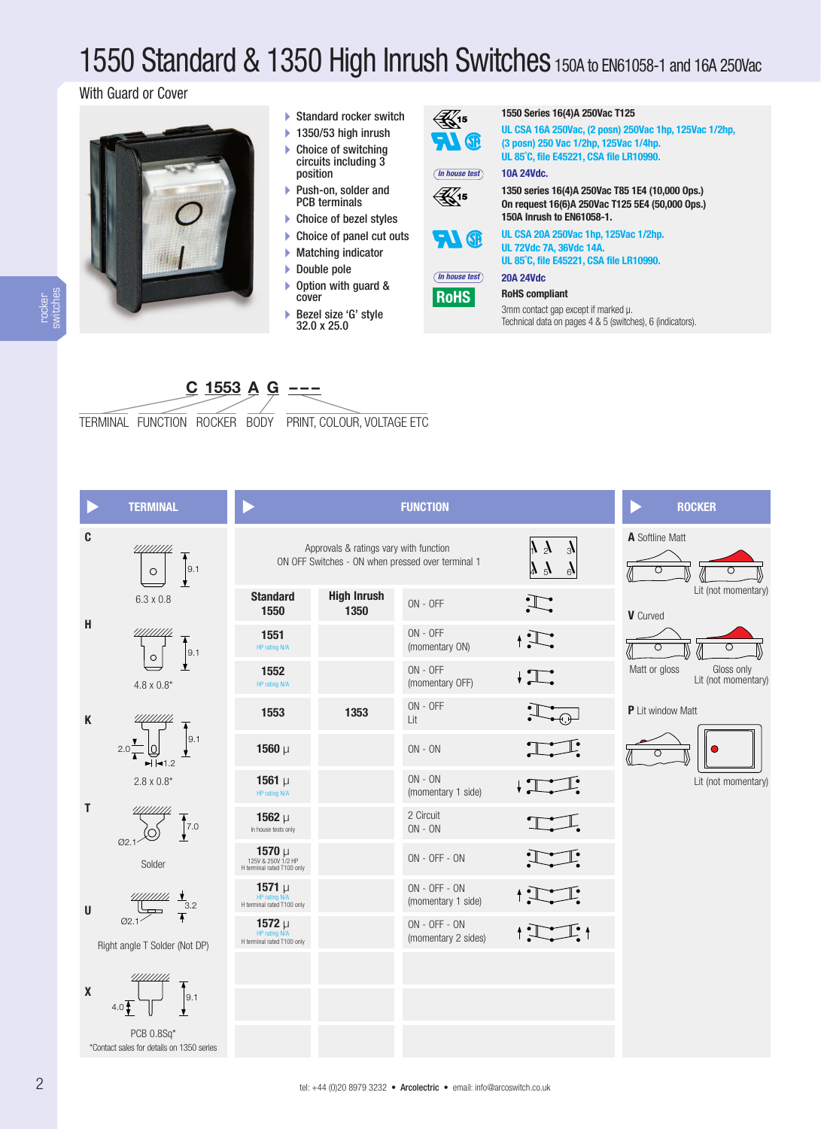# 1550 Standard & 1350 High Inrush Switches 150A to EN61058-1 and 16A 250Vac

# With Guard or Cover



- **-** Standard rocker switch
- **-** 1350/53 high inrush **-** Choice of switching circuits including 3
- position **-**Push-on, solder and
- PCB terminals
- **-** Choice of bezel styles
- **-** Choice of panel cut outs
- **-** Matching indicator
- **-** Double pole
- **-** Option with guard & cover
- **-** Bezel size 'G' style 32.0 x 25.0

 $\mathbb{Z}_1$ 15  $71$   $\circledR$ 



**UL CSA 16A 250Vac, (2 posn) 250Vac 1hp, 125Vac 1/2hp, (3 posn) 250 Vac 1/2hp, 125Vac 1/4hp. UL 85˚C, file E45221, CSA file LR10990.**

#### **10A 24Vdc.** *In house test*

**1350 series 16(4)A 250Vac T85 1E4 (10,000 Ops.)**  $\mathbb{R}^{15}$ **On request 16(6)A 250Vac T125 5E4 (50,000 Ops.)**



**RoHS**

**150A Inrush to EN61058-1. UL CSA 20A 250Vac 1hp, 125Vac 1/2hp. UL 72Vdc 7A, 36Vdc 14A. UL 85˚C, file E45221, CSA file LR10990.**

**20A 24Vdc** *In house test*

#### **RoHS compliant**

3mm contact gap except if marked µ. Technical data on pages 4 & 5 (switches), 6 (indicators).

**<sup>C</sup> <sup>1553</sup> <sup>A</sup> <sup>G</sup> ---**

TERMINAL FUNCTION ROCKER BODY PRINT, COLOUR, VOLTAGE ETC

1<br>H termin

H termin

H termin



\*Contact sales for details on 1350 series

|                                                               |                                        | <b>FUNCTION</b>                                   |                               |
|---------------------------------------------------------------|----------------------------------------|---------------------------------------------------|-------------------------------|
|                                                               | Approvals & ratings vary with function | ON OFF Switches - ON when pressed over terminal 1 | $\mathcal{V}$<br>$\mathbf{k}$ |
| <b>Standard</b><br>1550                                       | <b>High Inrush</b><br>1350             | $ON - OFF$                                        |                               |
| 1551<br>HP rating N/A                                         |                                        | $ON - OFF$<br>(momentary ON)                      |                               |
| 1552<br>HP rating N/A                                         |                                        | $ON - OFF$<br>(momentary OFF)                     |                               |
| 1553                                                          | 1353                                   | $ON - OFF$<br>Lit                                 |                               |
| 1560 $\mu$                                                    |                                        | $ON - ON$                                         |                               |
| 1561 $\mu$<br>HP rating N/A                                   |                                        | $ON - ON$<br>(momentary 1 side)                   |                               |
| 1562 $\mu$<br>In house tests only                             |                                        | 2 Circuit<br>$ON - ON$                            |                               |
| 1570 $\mu$<br>125V & 250V 1/2 HP<br>erminal rated T100 only   |                                        | $ON - OFF - ON$                                   |                               |
| 1571 $\mu$<br><b>HP</b> rating N/A<br>erminal rated T100 only |                                        | $ON - OFF - ON$<br>(momentary 1 side)             |                               |
| 1572 $\mu$<br><b>HP</b> rating N/A<br>erminal rated T100 only |                                        | $ON - OFF - ON$<br>(momentary 2 sides)            |                               |
|                                                               |                                        |                                                   |                               |
|                                                               |                                        |                                                   |                               |
|                                                               |                                        |                                                   |                               |
|                                                               |                                        |                                                   |                               |



rocker switches